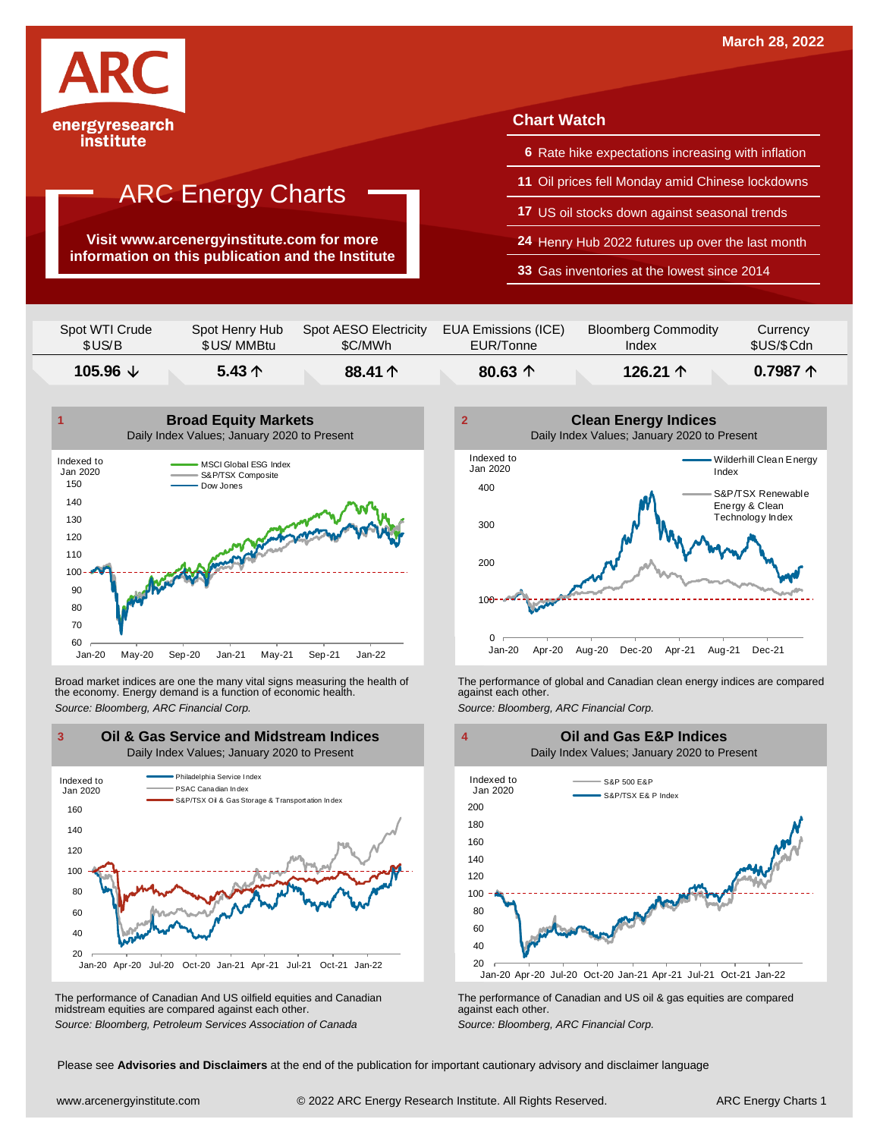

### institute

## ARC Energy Charts

**Visit www.arcenergyinstitute.com for more information on this publication and the Institute**

### **Chart Watch**

- **6** Rate hike expectations increasing with inflation
- **11** Oil prices fell Monday amid Chinese lockdowns
- **17** US oil stocks down against seasonal trends
- **24** Henry Hub 2022 futures up over the last month
- **33** Gas inventories at the lowest since 2014

| 105.96 $\downarrow$ | 5.43 $\uparrow$ | 88.41 个               | 80.63 $\uparrow$    | 126.21 $\uparrow$          | $0.7987 \uparrow$ |
|---------------------|-----------------|-----------------------|---------------------|----------------------------|-------------------|
| Spot WTI Crude      | Spot Henry Hub  | Spot AESO Electricity | EUA Emissions (ICE) | <b>Bloomberg Commodity</b> | Currency          |
| \$US/B              | \$US/MMBtu      | \$C/MWh               | EUR/Tonne           | Index                      | \$US/\$ Cdn       |



Broad market indices are one the many vital signs measuring the health of the economy. Energy demand is a function of economic health. Broad market indices are one the many vital signs measuring the health of The performance of global and Canadian clean energy indices are compared<br>the economy. Energy demand is a function of economic health.<br>Source: Bloomb



The performance of Canadian And US oilfield equities and Canadian midstream equities are compared against each other. The performance of Canadian And US oilfield equities and Canadian **Frank Constant Prank Constant Prank Constant**<br>The performance of Canadian and US oil & gas equities are compared<br>Source: Bloomberg, Petroleum Services Asso





Please see **Advisories and Disclaimers** at the end of the publication for important cautionary advisory and disclaimer language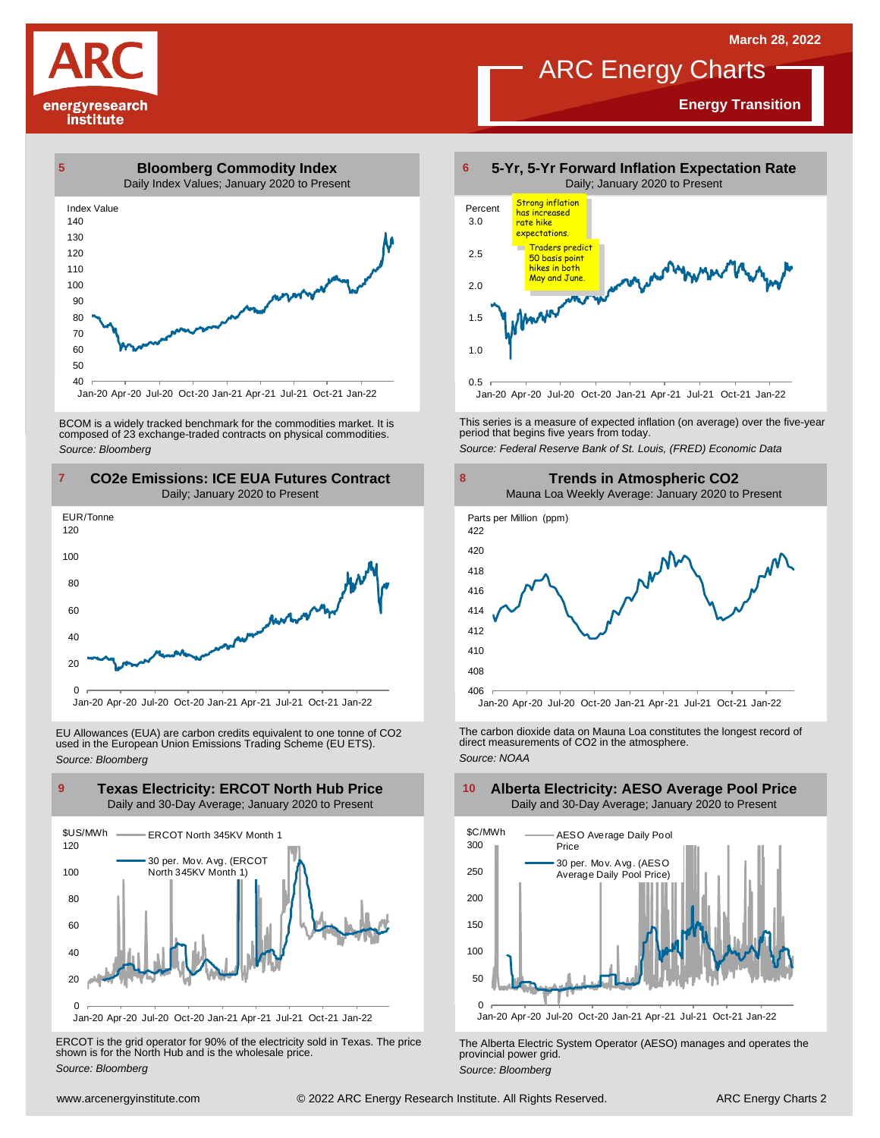## ARC Energy Charts

**Energy Transition**





Jan-20 Apr-20 Jul-20 Oct-20 Jan-21 Apr-21 Jul-21 Oct-21 Jan-22

BCOM is <sup>a</sup> widely tracked benchmark for the commodities market. It is composed of <sup>23</sup> exchange-traded contracts on physical commodities. *Source: Bloomberg*



EU Allowances (EUA) are carbon credits equivalent to one tonne of CO2 used in the European Union Emissions Trading Scheme (EU ETS). *Source: Bloomberg*



ERCOT is the grid operator for 90% of the electricity sold in Texas. The price shown is for the North Hub and is the wholesale price. *Source: Bloomberg*



This series is <sup>a</sup> measure of expected inflation (on average) over the five-year period that begins five years from today. *Source: Federal Reserve Bank of St. Louis, (FRED) Economic Data*



The carbon dioxide data on Mauna Loa constitutes the longest record of direct measurements of CO2 in the atmosphere. *Source: NOAA*



The Alberta Electric System Operator (AESO) manages and operates the provincial power grid. *Source: Bloomberg*

#### **Alberta Electricity: AESO Average Pool Price** Daily and 30-Day Average; January 2020 to Present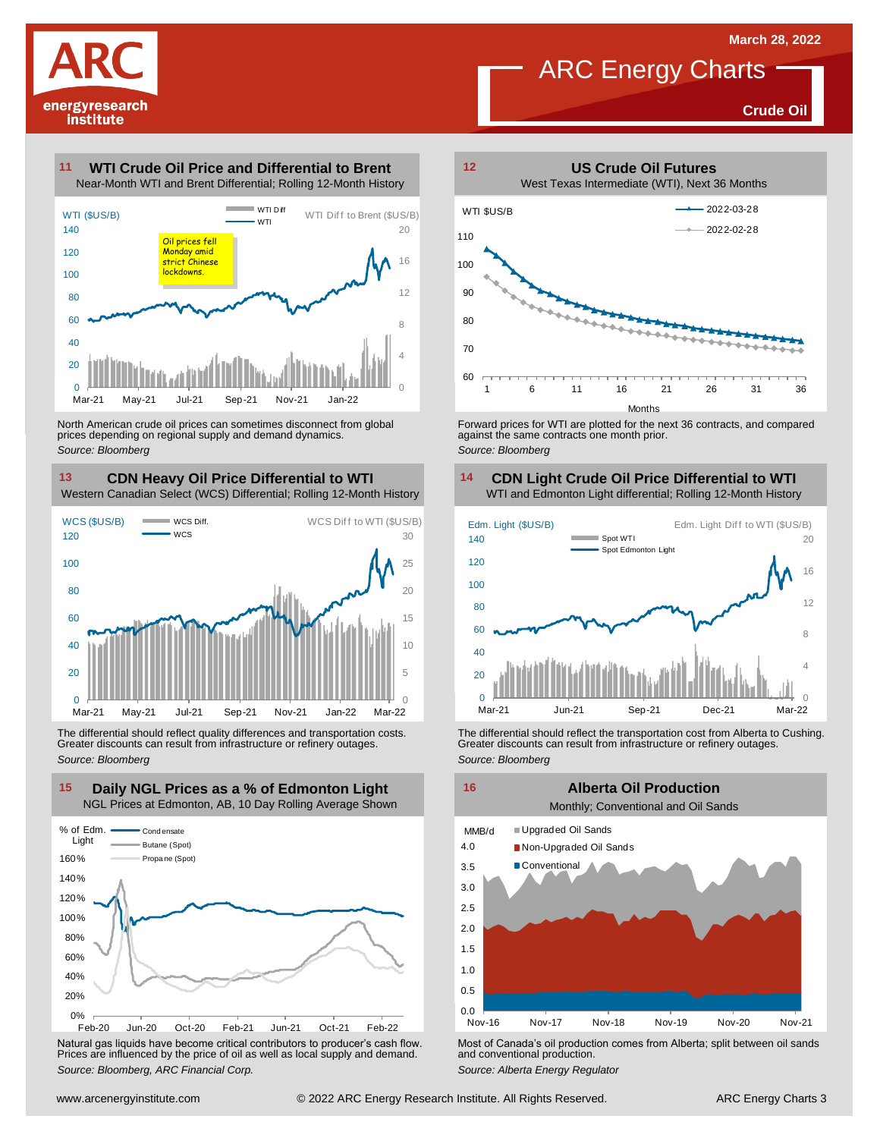

### ARC Energy Charts

**Crude Oil**

#### **WTI Crude Oil Price and Differential to Brent 11**



North American crude oil prices can sometimes disconnect from global prices depending on regional supply and demand dynamics. *Source: Bloomberg*

### **CDN Heavy Oil Price Differential to WTI 13 14**

Western Canadian Select (WCS) Differential; Rolling 12-Month History



The differential should reflect quality differences and transportation costs. Greater discounts can result from infrastructure or refinery outages. *Source: Bloomberg*



Natural gas liquids have become critical contributors to producer's cash flow. Most of Canada's oil production comes from Alberta; split between oil sands<br>Prices are influenced by the price of oil as well as local supply a



Forward prices for WTI are plotted for the next 36 contracts, and compared against the same contracts one month prior. *Source: Bloomberg*

### **CDN Light Crude Oil Price Differential to WTI**



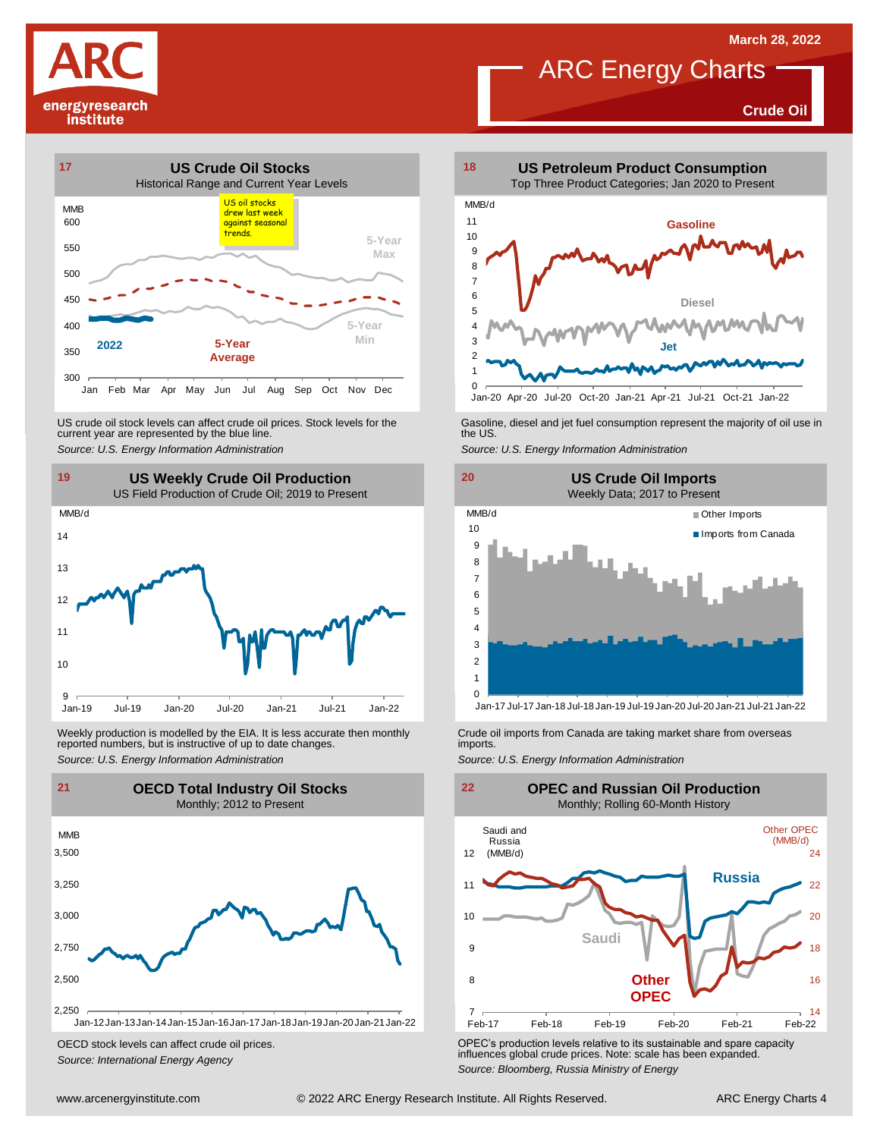**Crude Oil**

# energyresearch institute



US crude oil stock levels can affect crude oil prices. Stock levels for the current year are represented by the blue line. US crude oil stock levels can affect crude oil prices. Stock levels for the Gasoline, diesel and jet fuel consumption represent the majority of oil use in<br>current year are represented by the blue line.<br>Source: U.S. Energy



Weekly production is modelled by the EIA. It is less accurate then monthly Crude oil imports from Canada are taking market share from overseas<br>The imports in the more from overseas imports imports.<br>Source: U.S. Energy Info



OECD stock levels can affect crude oil prices. *Source: International Energy Agency*



**ARC Energy Charts** 





OPEC's production levels relative to its sustainable and spare capacity influences global crude prices. Note: scale has been expanded. *Source: Bloomberg, Russia Ministry of Energy*

**19 20 US Weekly Crude Oil Production**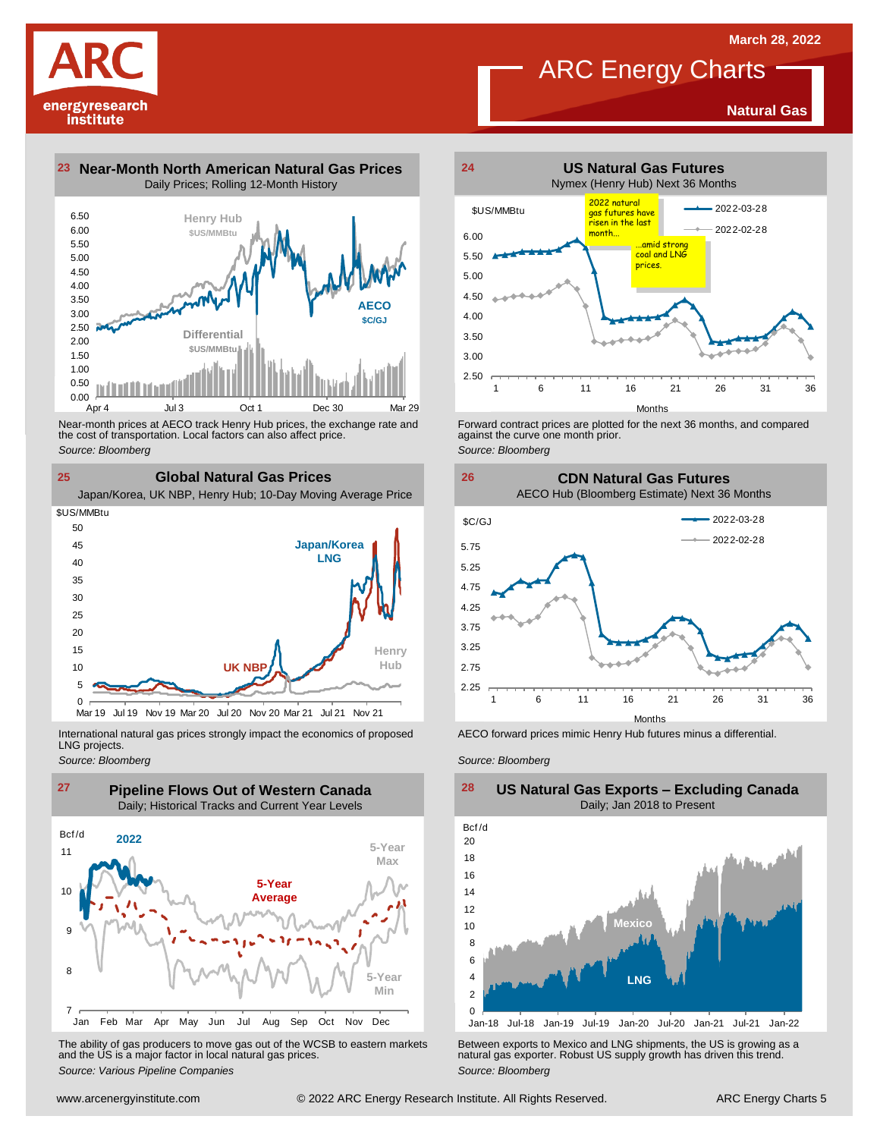**Natural Gas**



**23 Near-Month North American Natural Gas Prices 24** Daily Prices; Rolling 12-Month History



Near-month prices at AECO track Henry Hub prices, the exchange rate and<br>the cost of transportation. Local factors can also affect price.<br>Source: Bloomberg<br>**CIObal Natural Gas Prices**<br>Japan/Korea, UK NBP, Henry Hub; 10-Day the cost of transportation. Local factors can also affect price. *Source: Bloomberg*

**25 Global Natural Gas Prices**

![](_page_4_Figure_8.jpeg)

International natural gas prices strongly impact the economics of proposed LNG projects.

*Source: Bloomberg*

![](_page_4_Figure_11.jpeg)

The ability of gas producers to move gas out of the WCSB to eastern markets Between exports to Mexico and LNG shipments, the US is growing as a<br>and the US is a major factor in local natural gas prices.<br>Source: Bloomberg Va

![](_page_4_Figure_13.jpeg)

**ARC** Energy Charts

Forward contract prices are plotted for the next <sup>36</sup> months, and compared against the curve one month prior. *Source: Bloomberg*

**26 CDN Natural Gas Futures** AECO Hub (Bloomberg Estimate) Next 36 Months

![](_page_4_Figure_16.jpeg)

AECO forward prices mimic Henry Hub futures minus a differential.

*Source: Bloomberg*

![](_page_4_Figure_19.jpeg)

### **US Natural Gas Exports – Excluding Canada** Daily; Jan 2018 to Present  $\frac{28}{\text{Bcf/d}}$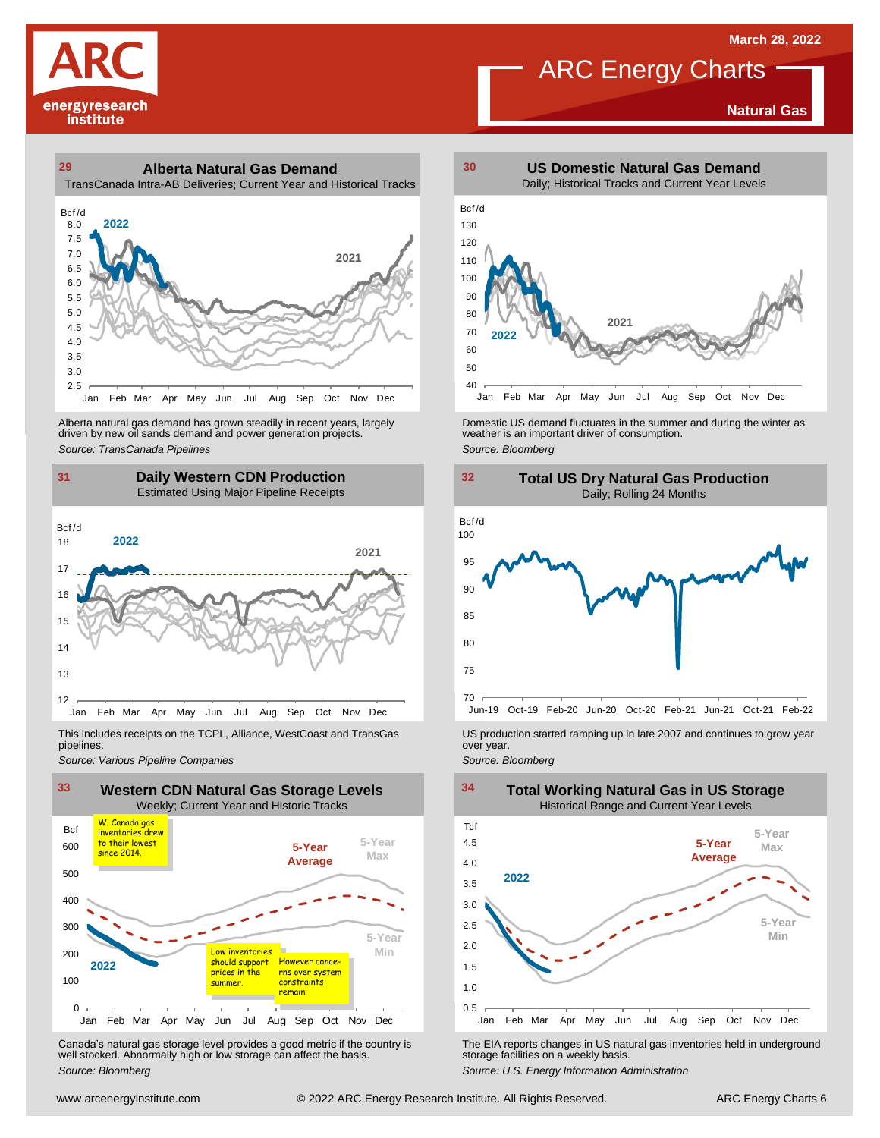**Natural Gas**

![](_page_5_Picture_1.jpeg)

### **29 30 Alberta Natural Gas Demand** TransCanada Intra-AB Deliveries; Current Year and Historical Tracks

![](_page_5_Figure_3.jpeg)

Alberta natural gas demand has grown steadily in recent years, largely<br>
driven by new oil sands demand and power generation projects.<br>
Source: *Bloomberg*<br>
Source: *Bloomberg*<br>
Daily Western CDN Production<br>
Estimated Using Alberta natural gas demand has grown steadily in recent years, largely **Domestic US demand fluctuates in the summer** and during the winter as driven by new oil sands demand and power generation projects.<br>Ariven by new oil

### **31 32 Daily Western CDN Production** Estimated Using Major Pipeline Receipts  $\frac{31}{\text{Bcf/d}}$

![](_page_5_Figure_6.jpeg)

This includes receipts on the TCPL, Alliance, WestCoast and TransGas pipelines.

![](_page_5_Figure_9.jpeg)

Canada's natural gas storage level provides <sup>a</sup> good metric if the country is well stocked. Abnormally high or low storage can affect the basis. *Source: Bloomberg*

![](_page_5_Figure_11.jpeg)

**ARC** Energy Charts

![](_page_5_Figure_13.jpeg)

![](_page_5_Figure_14.jpeg)

*Source: Pipelines Pipelines Pipelines Pipelines Pipelines Companies Pipeline Pipelines Pipelines Pipelines Pipelines Companies Pipeline Companies Pipeline Companies Pipeline Companies Pip* 

![](_page_5_Figure_17.jpeg)

The EIA reports changes in US natural gas inventories held in underground storage facilities on <sup>a</sup> weekly basis.

*Source: U.S. Energy Information Administration*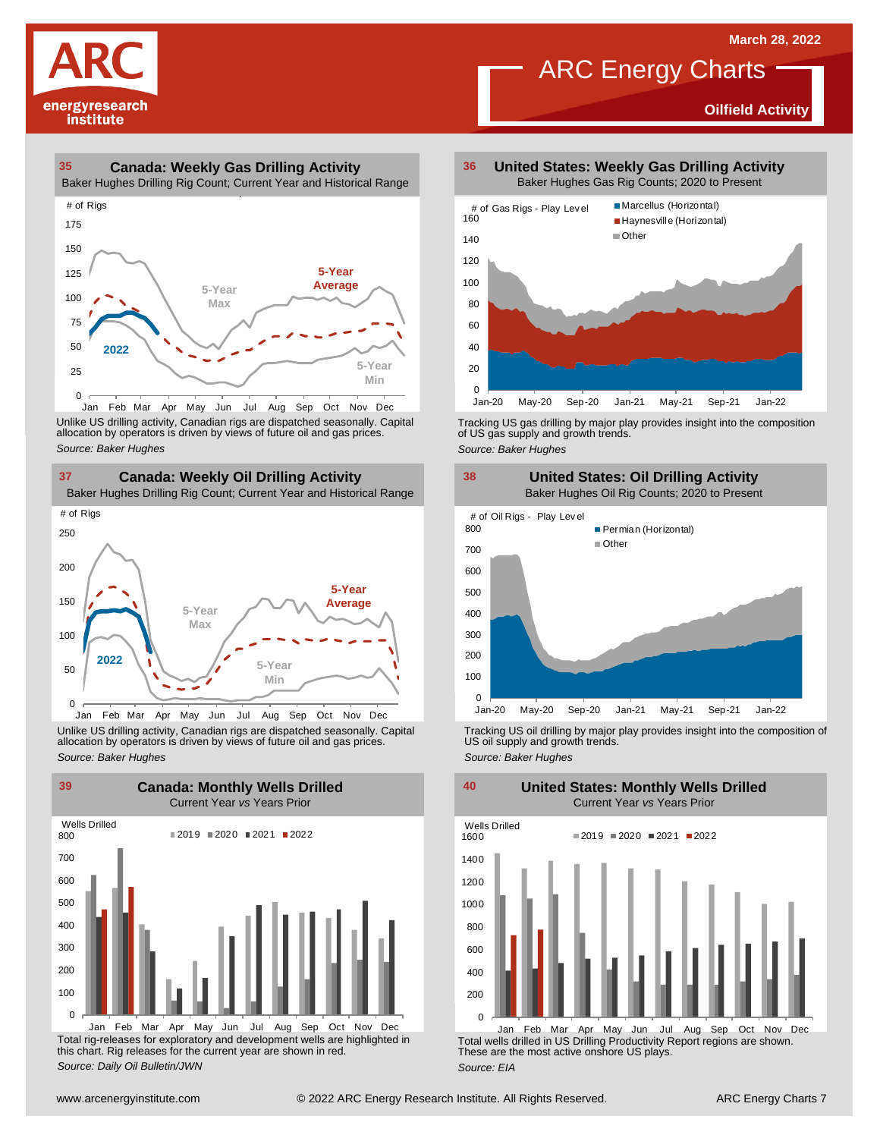**Oilfield Activity**

![](_page_6_Picture_1.jpeg)

### **35 36 Canada: Weekly Gas Drilling Activity**

Baker Hughes Drilling Rig Count; Current Year and Historical Range

![](_page_6_Figure_4.jpeg)

Unlike US drilling activity, Canadian rigs are dispatched seasonally. Capital<br>allocation by operators is driven by views of future oil and gas prices. 0<br>Jan Feb Mar<br>Unlike US drilling activi<br>allocation by operators<br>Source: Baker Hughes

![](_page_6_Figure_6.jpeg)

Unlike US drilling activity, Canadian rigs are dispatched seasonally. Capital Tracking US oil drilling by major play provides insight into the composition of<br>allocation by operators is driven by views of future oil and gas

![](_page_6_Figure_8.jpeg)

Total rig-releases for exploratory and development wells are highlighted in this chart. Rig releases for the current year are shown in red. *Source: Daily Oil Bulletin/JWN*

**United States: Weekly Gas Drilling Activity** Baker Hughes Gas Rig Counts; 2020 to Present

ARC Energy Charts

![](_page_6_Figure_11.jpeg)

Tracking US gas drilling by major play provides insight into the composition of US gas supply and growth trends.

*Source: Baker Hughes*

![](_page_6_Figure_14.jpeg)

Tracking US oil drilling by major play provides insight into the composition of US oil supply and growth trends. *Source: Baker Hughes*

**United States: Monthly Wells Drilled**

0 200 400 600 800 1000 1200 1400 1600 Wells Drilled  $2019 = 2020 = 2021 = 2022$ 

Total wells drilled in US Drilling Productivity Report regions are shown. These are the most active onshore US plays. *Source: EIA* Jan Feb Mar Apr May Jun Jul Aug Sep Oct Nov Dec